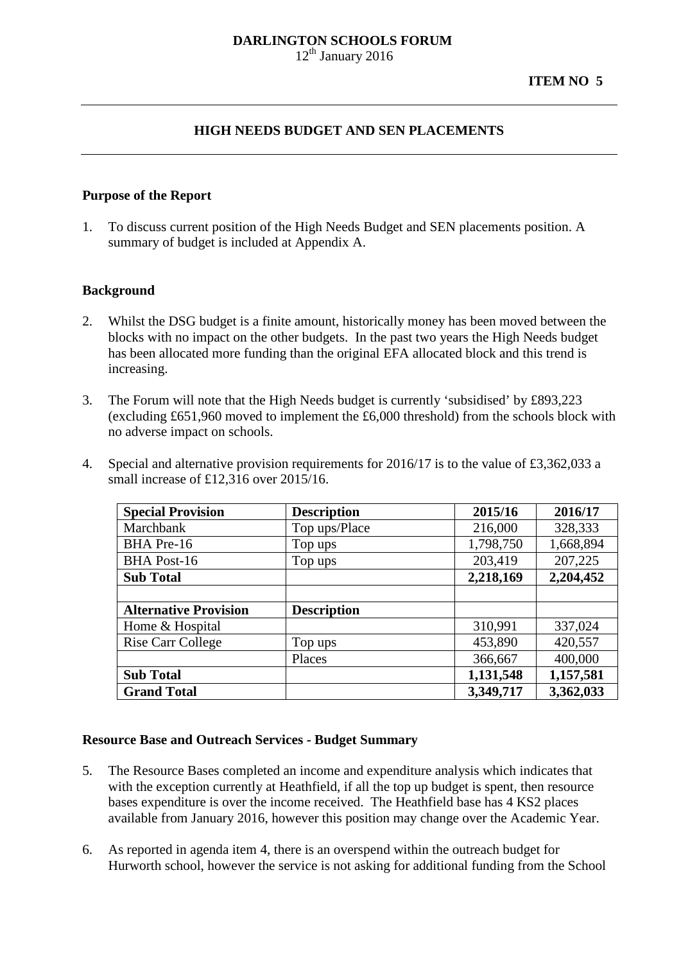# **DARLINGTON SCHOOLS FORUM**

 $12<sup>th</sup>$  January 2016

## **HIGH NEEDS BUDGET AND SEN PLACEMENTS**

#### **Purpose of the Report**

1. To discuss current position of the High Needs Budget and SEN placements position. A summary of budget is included at Appendix A.

#### **Background**

- 2. Whilst the DSG budget is a finite amount, historically money has been moved between the blocks with no impact on the other budgets. In the past two years the High Needs budget has been allocated more funding than the original EFA allocated block and this trend is increasing.
- 3. The Forum will note that the High Needs budget is currently 'subsidised' by £893,223 (excluding £651,960 moved to implement the £6,000 threshold) from the schools block with no adverse impact on schools.
- 4. Special and alternative provision requirements for 2016/17 is to the value of £3,362,033 a small increase of £12,316 over 2015/16.

| <b>Special Provision</b>     | <b>Description</b> | 2015/16   | 2016/17   |
|------------------------------|--------------------|-----------|-----------|
| Marchbank                    | Top ups/Place      | 216,000   | 328,333   |
| BHA Pre-16                   | Top ups            | 1,798,750 | 1,668,894 |
| <b>BHA Post-16</b>           | Top ups            | 203,419   | 207,225   |
| <b>Sub Total</b>             |                    | 2,218,169 | 2,204,452 |
|                              |                    |           |           |
| <b>Alternative Provision</b> | <b>Description</b> |           |           |
| Home & Hospital              |                    | 310,991   | 337,024   |
| <b>Rise Carr College</b>     | Top ups            | 453,890   | 420,557   |
|                              | Places             | 366,667   | 400,000   |
| <b>Sub Total</b>             |                    | 1,131,548 | 1,157,581 |
| <b>Grand Total</b>           |                    | 3,349,717 | 3,362,033 |

#### **Resource Base and Outreach Services - Budget Summary**

- 5. The Resource Bases completed an income and expenditure analysis which indicates that with the exception currently at Heathfield, if all the top up budget is spent, then resource bases expenditure is over the income received. The Heathfield base has 4 KS2 places available from January 2016, however this position may change over the Academic Year.
- 6. As reported in agenda item 4, there is an overspend within the outreach budget for Hurworth school, however the service is not asking for additional funding from the School